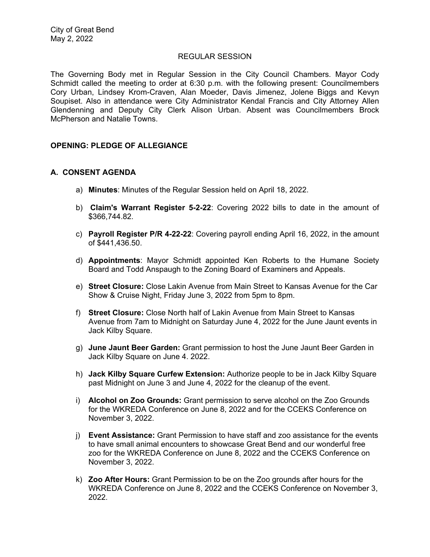#### REGULAR SESSION

The Governing Body met in Regular Session in the City Council Chambers. Mayor Cody Schmidt called the meeting to order at 6:30 p.m. with the following present: Councilmembers Cory Urban, Lindsey Krom-Craven, Alan Moeder, Davis Jimenez, Jolene Biggs and Kevyn Soupiset. Also in attendance were City Administrator Kendal Francis and City Attorney Allen Glendenning and Deputy City Clerk Alison Urban. Absent was Councilmembers Brock McPherson and Natalie Towns.

### **OPENING: PLEDGE OF ALLEGIANCE**

### **A. CONSENT AGENDA**

- a) **Minutes**: Minutes of the Regular Session held on April 18, 2022.
- b) **Claim's Warrant Register 5-2-22**: Covering 2022 bills to date in the amount of \$366,744.82.
- c) **Payroll Register P/R 4-22-22**: Covering payroll ending April 16, 2022, in the amount of \$441,436.50.
- d) **Appointments**: Mayor Schmidt appointed Ken Roberts to the Humane Society Board and Todd Anspaugh to the Zoning Board of Examiners and Appeals.
- e) **Street Closure:** Close Lakin Avenue from Main Street to Kansas Avenue for the Car Show & Cruise Night, Friday June 3, 2022 from 5pm to 8pm.
- f) **Street Closure:** Close North half of Lakin Avenue from Main Street to Kansas Avenue from 7am to Midnight on Saturday June 4, 2022 for the June Jaunt events in Jack Kilby Square.
- g) **June Jaunt Beer Garden:** Grant permission to host the June Jaunt Beer Garden in Jack Kilby Square on June 4. 2022.
- h) **Jack Kilby Square Curfew Extension:** Authorize people to be in Jack Kilby Square past Midnight on June 3 and June 4, 2022 for the cleanup of the event.
- i) **Alcohol on Zoo Grounds:** Grant permission to serve alcohol on the Zoo Grounds for the WKREDA Conference on June 8, 2022 and for the CCEKS Conference on November 3, 2022.
- j) **Event Assistance:** Grant Permission to have staff and zoo assistance for the events to have small animal encounters to showcase Great Bend and our wonderful free zoo for the WKREDA Conference on June 8, 2022 and the CCEKS Conference on November 3, 2022.
- k) **Zoo After Hours:** Grant Permission to be on the Zoo grounds after hours for the WKREDA Conference on June 8, 2022 and the CCEKS Conference on November 3, 2022.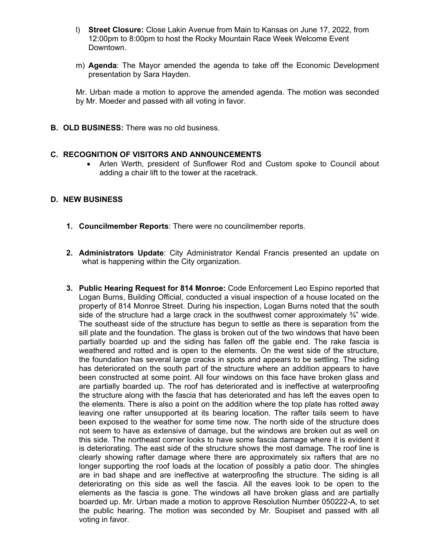- l) **Street Closure:** Close Lakin Avenue from Main to Kansas on June 17, 2022, from 12:00pm to 8:00pm to host the Rocky Mountain Race Week Welcome Event Downtown.
- m) **Agenda**: The Mayor amended the agenda to take off the Economic Development presentation by Sara Hayden.

Mr. Urban made a motion to approve the amended agenda. The motion was seconded by Mr. Moeder and passed with all voting in favor.

**B. OLD BUSINESS:** There was no old business.

## **C. RECOGNITION OF VISITORS AND ANNOUNCEMENTS**

 Arlen Werth, president of Sunflower Rod and Custom spoke to Council about adding a chair lift to the tower at the racetrack.

### **D. NEW BUSINESS**

- **1. Councilmember Reports**: There were no councilmember reports.
- **2. Administrators Update**: City Administrator Kendal Francis presented an update on what is happening within the City organization.
- **3. Public Hearing Request for 814 Monroe:** Code Enforcement Leo Espino reported that Logan Burns, Building Official, conducted a visual inspection of a house located on the property of 814 Monroe Street. During his inspection, Logan Burns noted that the south side of the structure had a large crack in the southwest corner approximately  $\frac{3}{4}$ " wide. The southeast side of the structure has begun to settle as there is separation from the sill plate and the foundation. The glass is broken out of the two windows that have been partially boarded up and the siding has fallen off the gable end. The rake fascia is weathered and rotted and is open to the elements. On the west side of the structure, the foundation has several large cracks in spots and appears to be settling. The siding has deteriorated on the south part of the structure where an addition appears to have been constructed at some point. All four windows on this face have broken glass and are partially boarded up. The roof has deteriorated and is ineffective at waterproofing the structure along with the fascia that has deteriorated and has left the eaves open to the elements. There is also a point on the addition where the top plate has rotted away leaving one rafter unsupported at its bearing location. The rafter tails seem to have been exposed to the weather for some time now. The north side of the structure does not seem to have as extensive of damage, but the windows are broken out as well on this side. The northeast corner looks to have some fascia damage where it is evident it is deteriorating. The east side of the structure shows the most damage. The roof line is clearly showing rafter damage where there are approximately six rafters that are no longer supporting the roof loads at the location of possibly a patio door. The shingles are in bad shape and are ineffective at waterproofing the structure. The siding is all deteriorating on this side as well the fascia. All the eaves look to be open to the elements as the fascia is gone. The windows all have broken glass and are partially boarded up. Mr. Urban made a motion to approve Resolution Number 050222-A, to set the public hearing. The motion was seconded by Mr. Soupiset and passed with all voting in favor.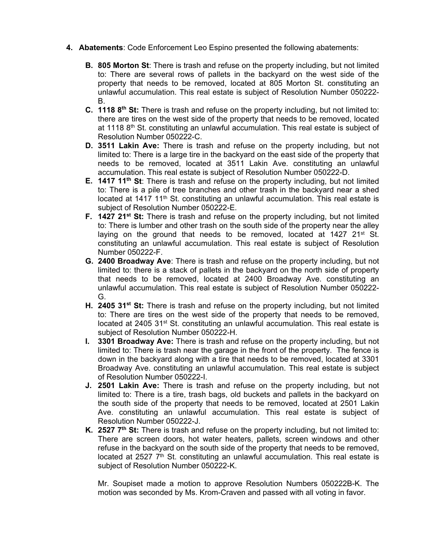- **4. Abatements**: Code Enforcement Leo Espino presented the following abatements:
	- **B. 805 Morton St**: There is trash and refuse on the property including, but not limited to: There are several rows of pallets in the backyard on the west side of the property that needs to be removed, located at 805 Morton St. constituting an unlawful accumulation. This real estate is subject of Resolution Number 050222- B.
	- **C. 1118 8th St:** There is trash and refuse on the property including, but not limited to: there are tires on the west side of the property that needs to be removed, located at 1118  $8<sup>th</sup>$  St. constituting an unlawful accumulation. This real estate is subject of Resolution Number 050222-C.
	- **D. 3511 Lakin Ave:** There is trash and refuse on the property including, but not limited to: There is a large tire in the backyard on the east side of the property that needs to be removed, located at 3511 Lakin Ave. constituting an unlawful accumulation. This real estate is subject of Resolution Number 050222-D.
	- **E.** 1417 11<sup>th</sup> St: There is trash and refuse on the property including, but not limited to: There is a pile of tree branches and other trash in the backyard near a shed located at  $1417$   $11<sup>th</sup>$  St. constituting an unlawful accumulation. This real estate is subject of Resolution Number 050222-E.
	- **F. 1427 21<sup>st</sup> St:** There is trash and refuse on the property including, but not limited to: There is lumber and other trash on the south side of the property near the alley laying on the ground that needs to be removed, located at  $1427$  21<sup>st</sup> St. constituting an unlawful accumulation. This real estate is subject of Resolution Number 050222-F.
	- **G. 2400 Broadway Ave**: There is trash and refuse on the property including, but not limited to: there is a stack of pallets in the backyard on the north side of property that needs to be removed, located at 2400 Broadway Ave. constituting an unlawful accumulation. This real estate is subject of Resolution Number 050222- G.
	- **H. 2405 31<sup>st</sup> St:** There is trash and refuse on the property including, but not limited to: There are tires on the west side of the property that needs to be removed, located at 2405 31<sup>st</sup> St. constituting an unlawful accumulation. This real estate is subject of Resolution Number 050222-H.
	- **I. 3301 Broadway Ave:** There is trash and refuse on the property including, but not limited to: There is trash near the garage in the front of the property. The fence is down in the backyard along with a tire that needs to be removed, located at 3301 Broadway Ave. constituting an unlawful accumulation. This real estate is subject of Resolution Number 050222-I.
	- **J. 2501 Lakin Ave:** There is trash and refuse on the property including, but not limited to: There is a tire, trash bags, old buckets and pallets in the backyard on the south side of the property that needs to be removed, located at 2501 Lakin Ave. constituting an unlawful accumulation. This real estate is subject of Resolution Number 050222-J.
	- **K. 2527 7th St:** There is trash and refuse on the property including, but not limited to: There are screen doors, hot water heaters, pallets, screen windows and other refuse in the backyard on the south side of the property that needs to be removed, located at 2527  $7<sup>th</sup>$  St. constituting an unlawful accumulation. This real estate is subject of Resolution Number 050222-K.

Mr. Soupiset made a motion to approve Resolution Numbers 050222B-K. The motion was seconded by Ms. Krom-Craven and passed with all voting in favor.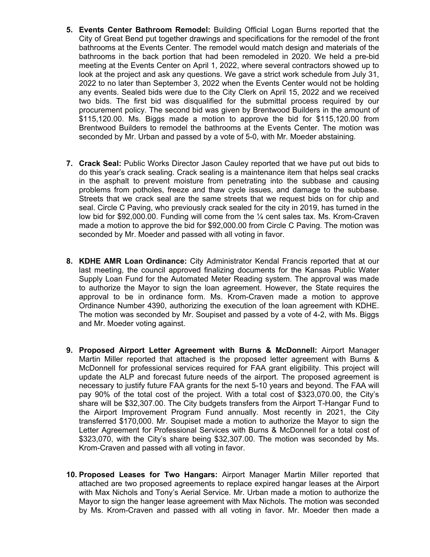- **5. Events Center Bathroom Remodel:** Building Official Logan Burns reported that the City of Great Bend put together drawings and specifications for the remodel of the front bathrooms at the Events Center. The remodel would match design and materials of the bathrooms in the back portion that had been remodeled in 2020. We held a pre-bid meeting at the Events Center on April 1, 2022, where several contractors showed up to look at the project and ask any questions. We gave a strict work schedule from July 31, 2022 to no later than September 3, 2022 when the Events Center would not be holding any events. Sealed bids were due to the City Clerk on April 15, 2022 and we received two bids. The first bid was disqualified for the submittal process required by our procurement policy. The second bid was given by Brentwood Builders in the amount of \$115,120.00. Ms. Biggs made a motion to approve the bid for \$115,120.00 from Brentwood Builders to remodel the bathrooms at the Events Center. The motion was seconded by Mr. Urban and passed by a vote of 5-0, with Mr. Moeder abstaining.
- **7. Crack Seal:** Public Works Director Jason Cauley reported that we have put out bids to do this year's crack sealing. Crack sealing is a maintenance item that helps seal cracks in the asphalt to prevent moisture from penetrating into the subbase and causing problems from potholes, freeze and thaw cycle issues, and damage to the subbase. Streets that we crack seal are the same streets that we request bids on for chip and seal. Circle C Paving, who previously crack sealed for the city in 2019, has turned in the low bid for \$92,000.00. Funding will come from the ¼ cent sales tax. Ms. Krom-Craven made a motion to approve the bid for \$92,000.00 from Circle C Paving. The motion was seconded by Mr. Moeder and passed with all voting in favor.
- **8. KDHE AMR Loan Ordinance:** City Administrator Kendal Francis reported that at our last meeting, the council approved finalizing documents for the Kansas Public Water Supply Loan Fund for the Automated Meter Reading system. The approval was made to authorize the Mayor to sign the loan agreement. However, the State requires the approval to be in ordinance form. Ms. Krom-Craven made a motion to approve Ordinance Number 4390, authorizing the execution of the loan agreement with KDHE. The motion was seconded by Mr. Soupiset and passed by a vote of 4-2, with Ms. Biggs and Mr. Moeder voting against.
- **9. Proposed Airport Letter Agreement with Burns & McDonnell:** Airport Manager Martin Miller reported that attached is the proposed letter agreement with Burns & McDonnell for professional services required for FAA grant eligibility. This project will update the ALP and forecast future needs of the airport. The proposed agreement is necessary to justify future FAA grants for the next 5-10 years and beyond. The FAA will pay 90% of the total cost of the project. With a total cost of \$323,070.00, the City's share will be \$32,307.00. The City budgets transfers from the Airport T-Hangar Fund to the Airport Improvement Program Fund annually. Most recently in 2021, the City transferred \$170,000. Mr. Soupiset made a motion to authorize the Mayor to sign the Letter Agreement for Professional Services with Burns & McDonnell for a total cost of \$323,070, with the City's share being \$32,307.00. The motion was seconded by Ms. Krom-Craven and passed with all voting in favor.
- **10. Proposed Leases for Two Hangars:** Airport Manager Martin Miller reported that attached are two proposed agreements to replace expired hangar leases at the Airport with Max Nichols and Tony's Aerial Service. Mr. Urban made a motion to authorize the Mayor to sign the hanger lease agreement with Max Nichols. The motion was seconded by Ms. Krom-Craven and passed with all voting in favor. Mr. Moeder then made a